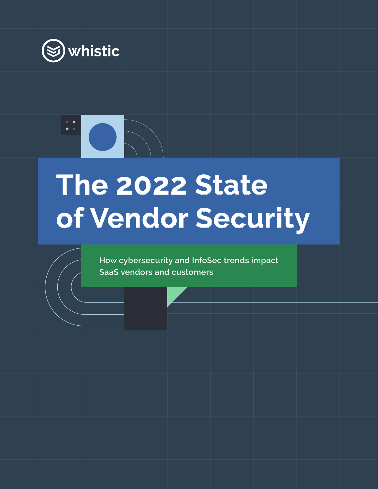

# **The 2022 State of Vendor Security**

**How cybersecurity and InfoSec trends impact SaaS vendors and customers**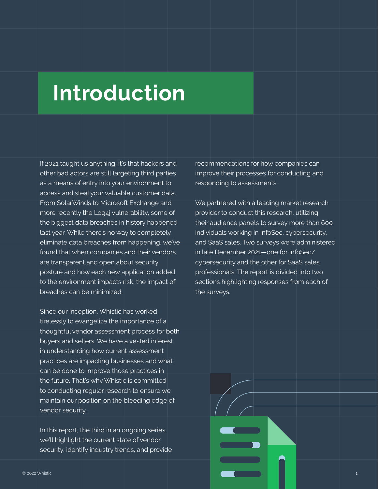# **Introduction**

If 2021 taught us anything, it's that hackers and other bad actors are still targeting third parties as a means of entry into your environment to access and steal your valuable customer data. From SolarWinds to Microsoft Exchange and more recently the Log4j vulnerability, some of the biggest data breaches in history happened last year. While there's no way to completely eliminate data breaches from happening, we've found that when companies and their vendors are transparent and open about security posture and how each new application added to the environment impacts risk, the impact of breaches can be minimized.

Since our inception, Whistic has worked tirelessly to evangelize the importance of a thoughtful vendor assessment process for both buyers and sellers. We have a vested interest in understanding how current assessment practices are impacting businesses and what can be done to improve those practices in the future. That's why Whistic is committed to conducting regular research to ensure we maintain our position on the bleeding edge of vendor security.

In this report, the third in an ongoing series, we'll highlight the current state of vendor security, identify industry trends, and provide recommendations for how companies can improve their processes for conducting and responding to assessments.

We partnered with a leading market research provider to conduct this research, utilizing their audience panels to survey more than 600 individuals working in InfoSec, cybersecurity, and SaaS sales. Two surveys were administered in late December 2021—one for InfoSec/ cybersecurity and the other for SaaS sales professionals. The report is divided into two sections highlighting responses from each of the surveys.

**Contract Contract Contract Contract Contract**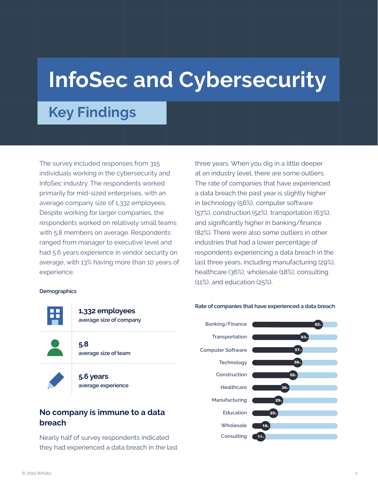# **InfoSec and Cybersecurity**

### **Key Findings**

The survey included responses from 315 individuals working in the cybersecurity and InfoSec industry. The respondents worked primarily for mid-sized enterprises, with an average company size of 1,332 employees. Despite working for larger companies, the respondents worked on relatively small teams with 5.8 members on average. Respondents ranged from manager to executive level and had 5.6 years experience in vendor security on average, with 13% having more than 10 years of experience.

#### **Demographics**



### **No company is immune to a data breach**

Nearly half of survey respondents indicated they had experienced a data breach in the last three years. When you dig in a little deeper at an industry level, there are some outliers. The rate of companies that have experienced a data breach the past year is slightly higher in technology (56%), computer software (57%), construction (52%), transportation (63%), and significantly higher in banking/finance (82%). There were also some outliers in other industries that had a lower percentage of respondents experiencing a data breach in the last three years, including manufacturing (29%), healthcare (36%), wholesale (18%), consulting (11%), and education (25%).



#### **Rate of companies that have experienced a data breach**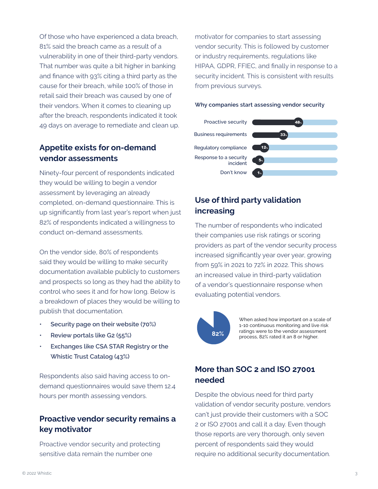Of those who have experienced a data breach, 81% said the breach came as a result of a vulnerability in one of their third-party vendors. That number was quite a bit higher in banking and finance with 93% citing a third party as the cause for their breach, while 100% of those in retail said their breach was caused by one of their vendors. When it comes to cleaning up after the breach, respondents indicated it took 49 days on average to remediate and clean up.

### **Appetite exists for on-demand vendor assessments**

Ninety-four percent of respondents indicated they would be willing to begin a vendor assessment by leveraging an already completed, on-demand questionnaire. This is up significantly from last year's report when just 82% of respondents indicated a willingness to conduct on-demand assessments.

On the vendor side, 80% of respondents said they would be willing to make security documentation available publicly to customers and prospects so long as they had the ability to control who sees it and for how long. Below is a breakdown of places they would be willing to publish that documentation.

- **• Security page on their website (70%)**
- **• Review portals like G2 (55%)**
- **• Exchanges like CSA STAR Registry or the Whistic Trust Catalog (43%)**

Respondents also said having access to ondemand questionnaires would save them 12.4 hours per month assessing vendors.

### **Proactive vendor security remains a key motivator**

Proactive vendor security and protecting sensitive data remain the number one

motivator for companies to start assessing vendor security. This is followed by customer or industry requirements, regulations like HIPAA, GDPR, FFIEC, and finally in response to a security incident. This is consistent with results from previous surveys.

### **Why companies start assessing vendor security**



### **Use of third party validation increasing**

The number of respondents who indicated their companies use risk ratings or scoring providers as part of the vendor security process increased significantly year over year, growing from 59% in 2021 to 72% in 2022. This shows an increased value in third-party validation of a vendor's questionnaire response when evaluating potential vendors.



When asked how important on a scale of 1-10 continuous monitoring and live risk ratings were to the vendor assessment process, 82% rated it an 8 or higher.

### **More than SOC 2 and ISO 27001 needed**

Despite the obvious need for third party validation of vendor security posture, vendors can't just provide their customers with a SOC 2 or ISO 27001 and call it a day. Even though those reports are very thorough, only seven percent of respondents said they would require no additional security documentation.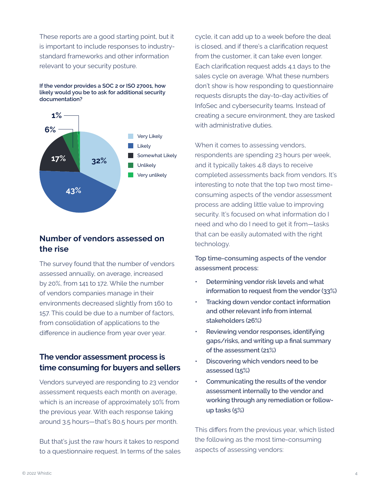These reports are a good starting point, but it is important to include responses to industrystandard frameworks and other information relevant to your security posture.

**If the vendor provides a SOC 2 or ISO 27001, how likely would you be to ask for additional security documentation?**



### **Number of vendors assessed on the rise**

The survey found that the number of vendors assessed annually, on average, increased by 20%, from 141 to 172. While the number of vendors companies manage in their environments decreased slightly from 160 to 157. This could be due to a number of factors, from consolidation of applications to the difference in audience from year over year.

### **The vendor assessment process is time consuming for buyers and sellers**

Vendors surveyed are responding to 23 vendor assessment requests each month on average, which is an increase of approximately 10% from the previous year. With each response taking around 3.5 hours—that's 80.5 hours per month.

But that's just the raw hours it takes to respond to a questionnaire request. In terms of the sales cycle, it can add up to a week before the deal is closed, and if there's a clarification request from the customer, it can take even longer. Each clarification request adds 4.1 days to the sales cycle on average. What these numbers don't show is how responding to questionnaire requests disrupts the day-to-day activities of InfoSec and cybersecurity teams. Instead of creating a secure environment, they are tasked with administrative duties.

When it comes to assessing vendors, respondents are spending 23 hours per week, and it typically takes 4.8 days to receive completed assessments back from vendors. It's interesting to note that the top two most timeconsuming aspects of the vendor assessment process are adding little value to improving security. It's focused on what information do I need and who do I need to get it from—tasks that can be easily automated with the right technology.

**Top time-consuming aspects of the vendor assessment process:**

- **• Determining vendor risk levels and what information to request from the vendor (33%)**
- **• Tracking down vendor contact information and other relevant info from internal stakeholders (26%)**
- **• Reviewing vendor responses, identifying gaps/risks, and writing up a final summary of the assessment (21%)**
- **• Discovering which vendors need to be assessed (15%)**
- **• Communicating the results of the vendor assessment internally to the vendor and working through any remediation or followup tasks (5%)**

This differs from the previous year, which listed the following as the most time-consuming aspects of assessing vendors: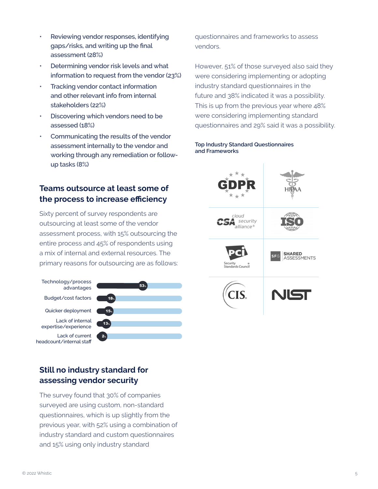- **• Reviewing vendor responses, identifying gaps/risks, and writing up the final assessment (28%)**
- **• Determining vendor risk levels and what information to request from the vendor (23%)**
- **• Tracking vendor contact information and other relevant info from internal stakeholders (22%)**
- **• Discovering which vendors need to be assessed (18%)**
- **• Communicating the results of the vendor assessment internally to the vendor and working through any remediation or followup tasks (8%)**

### **Teams outsource at least some of the process to increase efficiency**

Sixty percent of survey respondents are outsourcing at least some of the vendor assessment process, with 15% outsourcing the entire process and 45% of respondents using a mix of internal and external resources. The primary reasons for outsourcing are as follows:

Technology/process advantages Budget/cost factors Quicker deployment Lack of internal expertise/experience Lack of current headcount/internal staff



### **Still no industry standard for assessing vendor security**

The survey found that 30% of companies surveyed are using custom, non-standard questionnaires, which is up slightly from the previous year, with 52% using a combination of industry standard and custom questionnaires and 15% using only industry standard

questionnaires and frameworks to assess vendors.

However, 51% of those surveyed also said they were considering implementing or adopting industry standard questionnaires in the future and 38% indicated it was a possibility. This is up from the previous year where 48% were considering implementing standard questionnaires and 29% said it was a possibility.

### **Top Industry Standard Questionnaires and Frameworks**

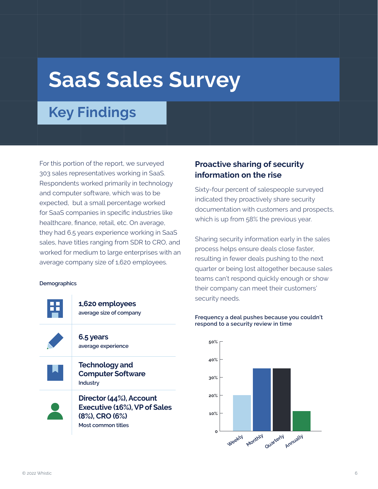# **SaaS Sales Survey**

### **Key Findings**

For this portion of the report, we surveyed 303 sales representatives working in SaaS. Respondents worked primarily in technology and computer software, which was to be expected, but a small percentage worked for SaaS companies in specific industries like healthcare, finance, retail, etc. On average, they had 6.5 years experience working in SaaS sales, have titles ranging from SDR to CRO, and worked for medium to large enterprises with an average company size of 1,620 employees.

#### **Demographics**



**Most common titles**

### **Proactive sharing of security information on the rise**

Sixty-four percent of salespeople surveyed indicated they proactively share security documentation with customers and prospects, which is up from 58% the previous year.

Sharing security information early in the sales process helps ensure deals close faster, resulting in fewer deals pushing to the next quarter or being lost altogether because sales teams can't respond quickly enough or show their company can meet their customers' security needs.

### **Frequency a deal pushes because you couldn't respond to a security review in time**

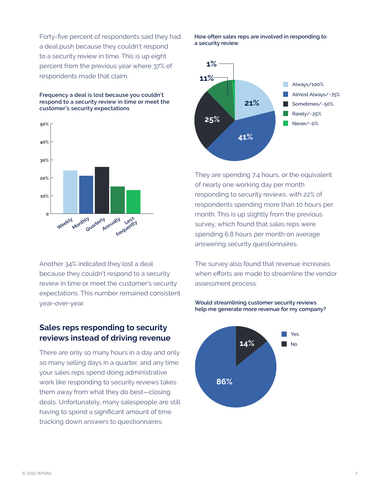Forty-five percent of respondents said they had a deal push because they couldn't respond to a security review in time. This is up eight percent from the previous year where 37% of respondents made that claim.

**Frequency a deal is lost because you couldn't respond to a security review in time or meet the customer's security expectations**



Another 34% indicated they lost a deal because they couldn't respond to a security review in time or meet the customer's security expectations. This number remained consistent year-over-year.

### **Sales reps responding to security reviews instead of driving revenue**

There are only so many hours in a day and only so many selling days in a quarter, and any time your sales reps spend doing administrative work like responding to security reviews takes them away from what they do best—closing deals. Unfortunately, many salespeople are still having to spend a significant amount of time tracking down answers to questionnaires.

**How often sales reps are involved in responding to a security review**



They are spending 7.4 hours, or the equivalent of nearly one working day per month responding to security reviews, with 22% of respondents spending more than 10 hours per month. This is up slightly from the previous survey, which found that sales reps were spending 6.8 hours per month on average answering security questionnaires.

The survey also found that revenue increases when efforts are made to streamline the vendor assessment process.

**Would streamlining customer security reviews help me generate more revenue for my company?**

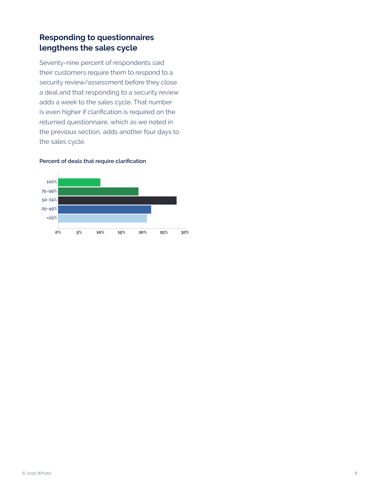### **Responding to questionnaires lengthens the sales cycle**

Seventy-nine percent of respondents said their customers require them to respond to a security review/assessment before they close a deal and that responding to a security review adds a week to the sales cycle. That number is even higher if clarification is required on the returned questionnaire, which as we noted in the previous section, adds another four days to the sales cycle.

### **Percent of deals that require clarification**

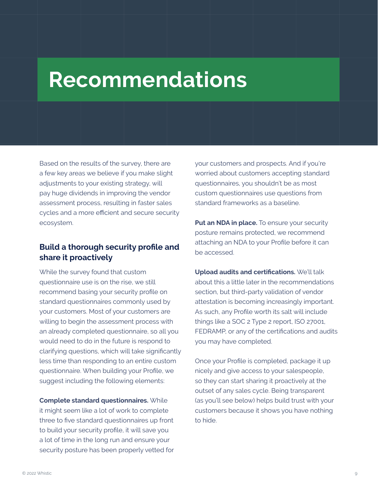## **Recommendations**

Based on the results of the survey, there are a few key areas we believe if you make slight adjustments to your existing strategy, will pay huge dividends in improving the vendor assessment process, resulting in faster sales cycles and a more efficient and secure security ecosystem.

### **Build a thorough security profile and share it proactively**

While the survey found that custom questionnaire use is on the rise, we still recommend basing your security profile on standard questionnaires commonly used by your customers. Most of your customers are willing to begin the assessment process with an already completed questionnaire, so all you would need to do in the future is respond to clarifying questions, which will take significantly less time than responding to an entire custom questionnaire. When building your Profile, we suggest including the following elements:

**Complete standard questionnaires.** While it might seem like a lot of work to complete three to five standard questionnaires up front to build your security profile, it will save you a lot of time in the long run and ensure your security posture has been properly vetted for

your customers and prospects. And if you're worried about customers accepting standard questionnaires, you shouldn't be as most custom questionnaires use questions from standard frameworks as a baseline.

**Put an NDA in place.** To ensure your security posture remains protected, we recommend attaching an NDA to your Profile before it can be accessed.

**Upload audits and certifications.** We'll talk about this a little later in the recommendations section, but third-party validation of vendor attestation is becoming increasingly important. As such, any Profile worth its salt will include things like a SOC 2 Type 2 report, ISO 27001, FEDRAMP, or any of the certifications and audits you may have completed.

Once your Profile is completed, package it up nicely and give access to your salespeople, so they can start sharing it proactively at the outset of any sales cycle. Being transparent (as you'll see below) helps build trust with your customers because it shows you have nothing to hide.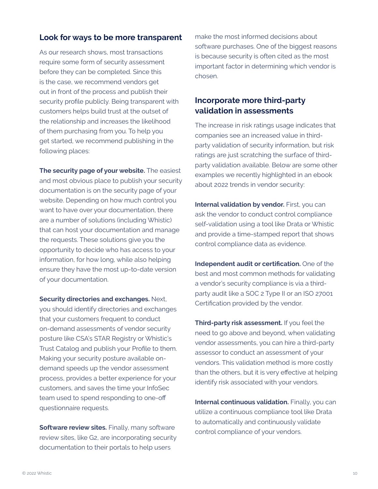### **Look for ways to be more transparent**

As our research shows, most transactions require some form of security assessment before they can be completed. Since this is the case, we recommend vendors get out in front of the process and publish their security profile publicly. Being transparent with customers helps build trust at the outset of the relationship and increases the likelihood of them purchasing from you. To help you get started, we recommend publishing in the following places:

**The security page of your website.** The easiest and most obvious place to publish your security documentation is on the security page of your website. Depending on how much control you want to have over your documentation, there are a number of solutions (including Whistic) that can host your documentation and manage the requests. These solutions give you the opportunity to decide who has access to your information, for how long, while also helping ensure they have the most up-to-date version of your documentation.

**Security directories and exchanges.** Next, you should identify directories and exchanges that your customers frequent to conduct on-demand assessments of vendor security posture like CSA's STAR Registry or Whistic's Trust Catalog and publish your Profile to them. Making your security posture available ondemand speeds up the vendor assessment process, provides a better experience for your customers, and saves the time your InfoSec team used to spend responding to one-off questionnaire requests.

**Software review sites.** Finally, many software review sites, like G2, are incorporating security documentation to their portals to help users

make the most informed decisions about software purchases. One of the biggest reasons is because security is often cited as the most important factor in determining which vendor is chosen.

### **Incorporate more third-party validation in assessments**

The increase in risk ratings usage indicates that companies see an increased value in thirdparty validation of security information, but risk ratings are just scratching the surface of thirdparty validation available. Below are some other examples we recently highlighted in an ebook about 2022 trends in vendor security:

**Internal validation by vendor.** First, you can ask the vendor to conduct control compliance self-validation using a tool like Drata or Whistic and provide a time-stamped report that shows control compliance data as evidence.

**Independent audit or certification.** One of the best and most common methods for validating a vendor's security compliance is via a thirdparty audit like a SOC 2 Type II or an ISO 27001 Certification provided by the vendor.

**Third-party risk assessment.** If you feel the need to go above and beyond, when validating vendor assessments, you can hire a third-party assessor to conduct an assessment of your vendors. This validation method is more costly than the others, but it is very effective at helping identify risk associated with your vendors.

**Internal continuous validation.** Finally, you can utilize a continuous compliance tool like Drata to automatically and continuously validate control compliance of your vendors.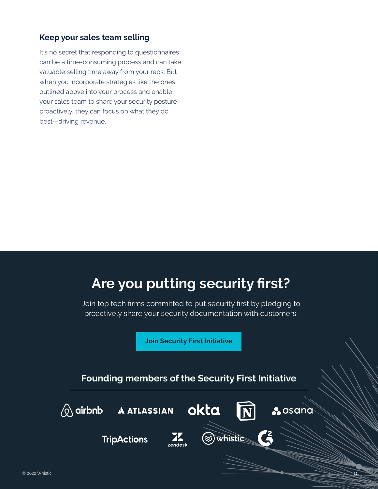### **Keep your sales team selling**

It's no secret that responding to questionnaires can be a time-consuming process and can take valuable selling time away from your reps. But when you incorporate strategies like the ones outlined above into your process and enable your sales team to share your security posture proactively, they can focus on what they do best—driving revenue.

### **Are you putting security first?**

Join top tech firms committed to put security first by pledging to proactively share your security documentation with customers.

**[Join Security First Initiative](https://www.whistic.com/securityfirstinitiative)**

### **Founding members of the Security First Initiative**

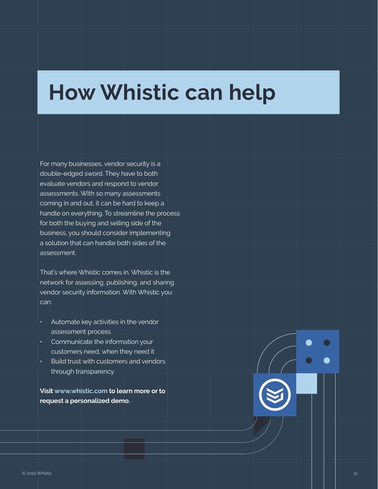# **How Whistic can help**

For many businesses, vendor security is a double-edged sword. They have to both evaluate vendors and respond to vendor assessments. With so many assessments coming in and out, it can be hard to keep a handle on everything. To streamline the process for both the buying and selling side of the business, you should consider implementing a solution that can handle both sides of the assessment.

That's where Whistic comes in. Whistic is the network for assessing, publishing, and sharing vendor security information. With Whistic you can:

- Automate key activities in the vendor assessment process
- Communicate the information your customers need, when they need it
- Build trust with customers and vendors through transparency

**Visit www.whistic.com to learn more or to request a personalized demo.**